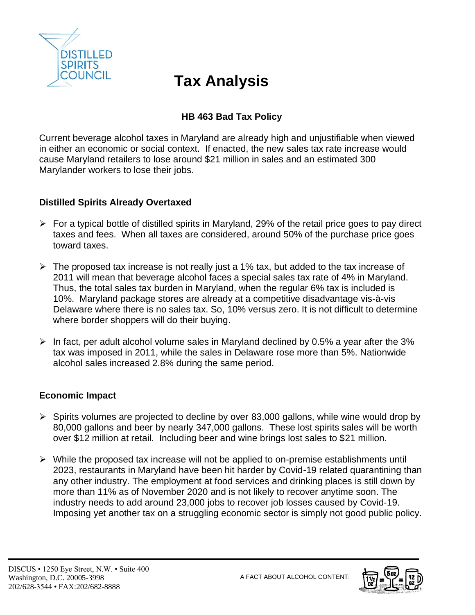

# **Tax Analysis**

# **HB 463 Bad Tax Policy**

Current beverage alcohol taxes in Maryland are already high and unjustifiable when viewed in either an economic or social context. If enacted, the new sales tax rate increase would cause Maryland retailers to lose around \$21 million in sales and an estimated 300 Marylander workers to lose their jobs.

### **Distilled Spirits Already Overtaxed**

- $\triangleright$  For a typical bottle of distilled spirits in Maryland, 29% of the retail price goes to pay direct taxes and fees. When all taxes are considered, around 50% of the purchase price goes toward taxes.
- $\triangleright$  The proposed tax increase is not really just a 1% tax, but added to the tax increase of 2011 will mean that beverage alcohol faces a special sales tax rate of 4% in Maryland. Thus, the total sales tax burden in Maryland, when the regular 6% tax is included is 10%. Maryland package stores are already at a competitive disadvantage vis-à-vis Delaware where there is no sales tax. So, 10% versus zero. It is not difficult to determine where border shoppers will do their buying.
- $\triangleright$  In fact, per adult alcohol volume sales in Maryland declined by 0.5% a year after the 3% tax was imposed in 2011, while the sales in Delaware rose more than 5%. Nationwide alcohol sales increased 2.8% during the same period.

## **Economic Impact**

- ➢ Spirits volumes are projected to decline by over 83,000 gallons, while wine would drop by 80,000 gallons and beer by nearly 347,000 gallons. These lost spirits sales will be worth over \$12 million at retail. Including beer and wine brings lost sales to \$21 million.
- ➢ While the proposed tax increase will not be applied to on-premise establishments until 2023, restaurants in Maryland have been hit harder by Covid-19 related quarantining than any other industry. The employment at food services and drinking places is still down by more than 11% as of November 2020 and is not likely to recover anytime soon. The industry needs to add around 23,000 jobs to recover job losses caused by Covid-19. Imposing yet another tax on a struggling economic sector is simply not good public policy.